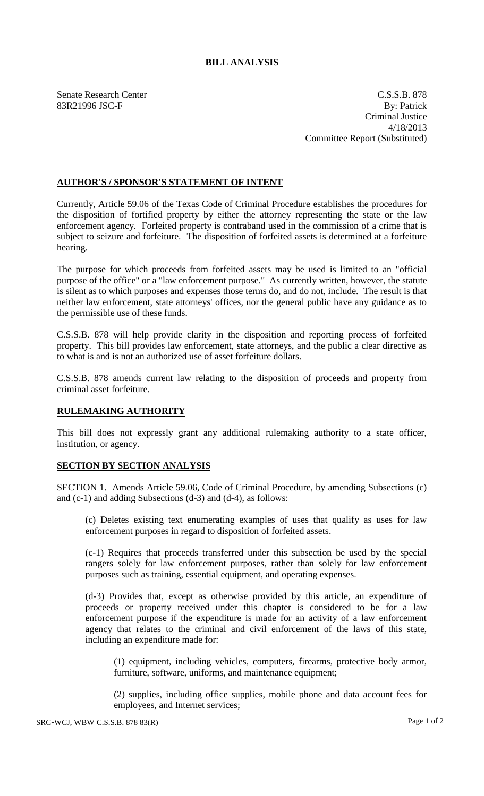## **BILL ANALYSIS**

Senate Research Center C.S.S.B. 878 83R21996 JSC-F By: Patrick Criminal Justice 4/18/2013 Committee Report (Substituted)

## **AUTHOR'S / SPONSOR'S STATEMENT OF INTENT**

Currently, Article 59.06 of the Texas Code of Criminal Procedure establishes the procedures for the disposition of fortified property by either the attorney representing the state or the law enforcement agency. Forfeited property is contraband used in the commission of a crime that is subject to seizure and forfeiture. The disposition of forfeited assets is determined at a forfeiture hearing.

The purpose for which proceeds from forfeited assets may be used is limited to an "official purpose of the office" or a "law enforcement purpose." As currently written, however, the statute is silent as to which purposes and expenses those terms do, and do not, include. The result is that neither law enforcement, state attorneys' offices, nor the general public have any guidance as to the permissible use of these funds.

C.S.S.B. 878 will help provide clarity in the disposition and reporting process of forfeited property. This bill provides law enforcement, state attorneys, and the public a clear directive as to what is and is not an authorized use of asset forfeiture dollars.

C.S.S.B. 878 amends current law relating to the disposition of proceeds and property from criminal asset forfeiture.

## **RULEMAKING AUTHORITY**

This bill does not expressly grant any additional rulemaking authority to a state officer, institution, or agency.

## **SECTION BY SECTION ANALYSIS**

SECTION 1. Amends Article 59.06, Code of Criminal Procedure, by amending Subsections (c) and (c-1) and adding Subsections (d-3) and (d-4), as follows:

(c) Deletes existing text enumerating examples of uses that qualify as uses for law enforcement purposes in regard to disposition of forfeited assets.

(c-1) Requires that proceeds transferred under this subsection be used by the special rangers solely for law enforcement purposes, rather than solely for law enforcement purposes such as training, essential equipment, and operating expenses.

(d-3) Provides that, except as otherwise provided by this article, an expenditure of proceeds or property received under this chapter is considered to be for a law enforcement purpose if the expenditure is made for an activity of a law enforcement agency that relates to the criminal and civil enforcement of the laws of this state, including an expenditure made for:

(1) equipment, including vehicles, computers, firearms, protective body armor, furniture, software, uniforms, and maintenance equipment;

(2) supplies, including office supplies, mobile phone and data account fees for employees, and Internet services;